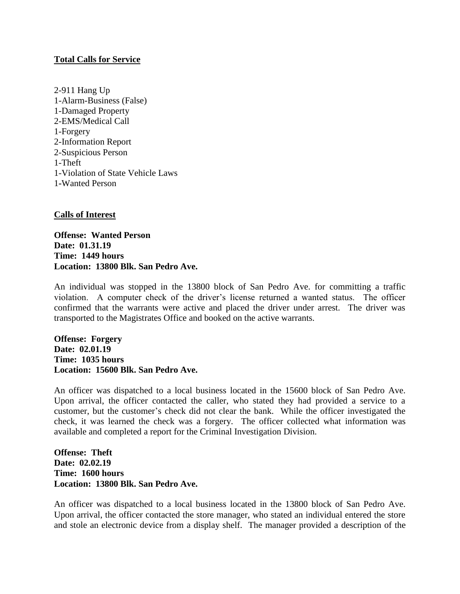## **Total Calls for Service**

2-911 Hang Up 1-Alarm-Business (False) 1-Damaged Property 2-EMS/Medical Call 1-Forgery 2-Information Report 2-Suspicious Person 1-Theft 1-Violation of State Vehicle Laws 1**-**Wanted Person

## **Calls of Interest**

**Offense: Wanted Person Date: 01.31.19 Time: 1449 hours Location: 13800 Blk. San Pedro Ave.**

An individual was stopped in the 13800 block of San Pedro Ave. for committing a traffic violation. A computer check of the driver's license returned a wanted status. The officer confirmed that the warrants were active and placed the driver under arrest. The driver was transported to the Magistrates Office and booked on the active warrants.

**Offense: Forgery Date: 02.01.19 Time: 1035 hours Location: 15600 Blk. San Pedro Ave.**

An officer was dispatched to a local business located in the 15600 block of San Pedro Ave. Upon arrival, the officer contacted the caller, who stated they had provided a service to a customer, but the customer's check did not clear the bank. While the officer investigated the check, it was learned the check was a forgery. The officer collected what information was available and completed a report for the Criminal Investigation Division.

**Offense: Theft Date: 02.02.19 Time: 1600 hours Location: 13800 Blk. San Pedro Ave.**

An officer was dispatched to a local business located in the 13800 block of San Pedro Ave. Upon arrival, the officer contacted the store manager, who stated an individual entered the store and stole an electronic device from a display shelf. The manager provided a description of the